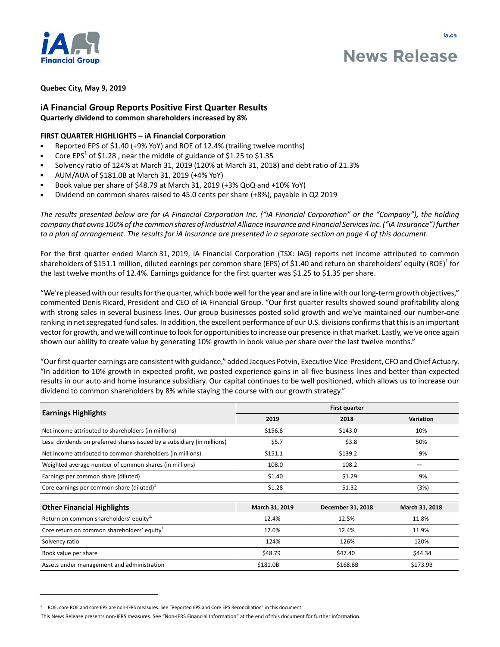

# **News Release**

## **Quebec City, May 9, 2019**

# **iA Financial Group Reports Positive First Quarter Results Quarterly dividend to common shareholders increased by 8%**

# **FIRST QUARTER HIGHLIGHTS – iA Financial Corporation**

- Reported EPS of \$1.40 (+9% YoY) and ROE of 12.4% (trailing twelve months)
- Core EPS<sup>1</sup> of \$1.28, near the middle of guidance of \$1.25 to \$1.35
- Solvency ratio of 124% at March 31, 2019 (120% at March 31, 2018) and debt ratio of 21.3%
- AUM/AUA of \$181.0B at March 31, 2019 (+4% YoY)
- Book value per share of \$48.79 at March 31, 2019 (+3% QoQ and +10% YoY)
- Dividend on common shares raised to 45.0 cents per share (+8%), payable in Q2 2019

*The results presented below are for iA Financial Corporation Inc. ("iA Financial Corporation" or the "Company"), the holding company that owns 100% of the common shares of Industrial Alliance Insurance and Financial Services Inc. ("iA Insurance") further*  to a plan of arrangement. The results for *iA* Insurance are presented in a separate section on page 4 of this document.

For the first quarter ended March 31, 2019, iA Financial Corporation (TSX: IAG) reports net income attributed to common shareholders of \$151.1 million, diluted earnings per common share (EPS) of \$1.40 and return on shareholders' equity (ROE) $^1$  for the last twelve months of 12.4%. Earnings guidance for the first quarter was \$1.25 to \$1.35 per share.

"We're pleased with our results for the quarter, which bode well for the year and are in line with our long-term growth objectives," commented Denis Ricard, President and CEO of iA Financial Group. "Our first quarter results showed sound profitability along with strong sales in several business lines. Our group businesses posted solid growth and we've maintained our number-one ranking in net segregated fund sales. In addition, the excellent performance of our U.S. divisions confirms that this is an important vector for growth, and we will continue to look for opportunities to increase our presence in that market. Lastly, we've once again shown our ability to create value by generating 10% growth in book value per share over the last twelve months."

"Our first quarter earnings are consistent with guidance," added Jacques Potvin, Executive Vice-President, CFO and Chief Actuary. "In addition to 10% growth in expected profit, we posted experience gains in all five business lines and better than expected results in our auto and home insurance subsidiary. Our capital continues to be well positioned, which allows us to increase our dividend to common shareholders by 8% while staying the course with our growth strategy."

|                                                                          | <b>First quarter</b> |                   |                |
|--------------------------------------------------------------------------|----------------------|-------------------|----------------|
| <b>Earnings Highlights</b>                                               | 2019                 | 2018              | Variation      |
| Net income attributed to shareholders (in millions)                      | \$156.8              | \$143.0           | 10%            |
| Less: dividends on preferred shares issued by a subsidiary (in millions) | \$5.7                | \$3.8             | 50%            |
| Net income attributed to common shareholders (in millions)               | \$151.1              | \$139.2           | 9%             |
| Weighted average number of common shares (in millions)                   | 108.0                | 108.2             |                |
| Earnings per common share (diluted)                                      | \$1.40               | \$1.29            | 9%             |
| Core earnings per common share (diluted) $1$                             | \$1.28               | \$1.32            | (3%)           |
| <b>Other Financial Highlights</b>                                        | March 31, 2019       | December 31, 2018 | March 31, 2018 |
| Return on common shareholders' equity <sup>1,</sup>                      | 12.4%                | 12.5%             | 11.8%          |
| Core return on common shareholders' equity <sup>1</sup>                  | 12.0%                | 12.4%             | 11.9%          |
| Solvency ratio                                                           | 124%                 | 126%              | 120%           |
| Book value per share                                                     | \$48.79              | \$47.40           | \$44.34        |
| Assets under management and administration                               | \$181.0B             | \$168.8B          | \$173.9B       |

<sup>1</sup> ROE, core ROE and core EPS are non-IFRS measures. See "Reported EPS and Core EPS Reconciliation" in this document.

This News Release presents non-IFRS measures. See "Non-IFRS Financial Information" at the end of this document for further information.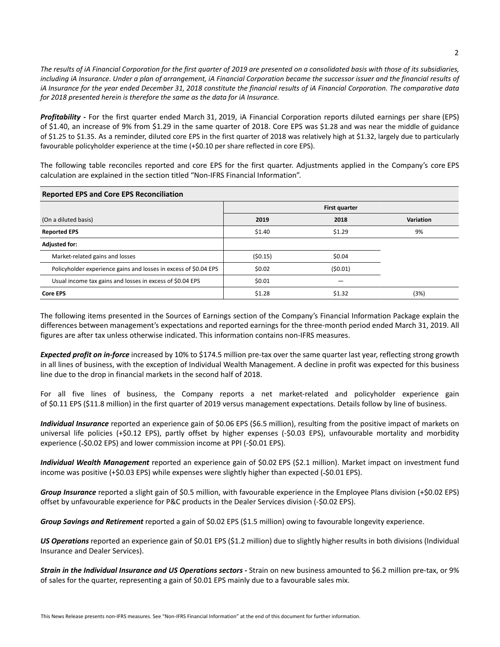*The results of iA Financial Corporation for the first quarter of 2019 are presented on a consolidated basis with those of its subsidiaries, including iA Insurance. Under a plan of arrangement, iA Financial Corporation became the successor issuer and the financial results of iA Insurance for the year ended December 31, 2018 constitute the financial results of iA Financial Corporation. The comparative data for 2018 presented herein is therefore the same as the data for iA Insurance.*

*Profitability -* For the first quarter ended March 31, 2019, iA Financial Corporation reports diluted earnings per share (EPS) of \$1.40, an increase of 9% from \$1.29 in the same quarter of 2018. Core EPS was \$1.28 and was near the middle of guidance of \$1.25 to \$1.35. As a reminder, diluted core EPS in the first quarter of 2018 was relatively high at \$1.32, largely due to particularly favourable policyholder experience at the time (+\$0.10 per share reflected in core EPS).

The following table reconciles reported and core EPS for the first quarter. Adjustments applied in the Company's core EPS calculation are explained in the section titled "Non-IFRS Financial Information".

| <b>Reported EPS and Core EPS Reconciliation</b>                  |         |               |                  |  |  |
|------------------------------------------------------------------|---------|---------------|------------------|--|--|
|                                                                  |         | First quarter |                  |  |  |
| (On a diluted basis)                                             | 2019    | 2018          | <b>Variation</b> |  |  |
| <b>Reported EPS</b>                                              | \$1.40  | \$1.29        | 9%               |  |  |
| <b>Adjusted for:</b>                                             |         |               |                  |  |  |
| Market-related gains and losses                                  | (50.15) | \$0.04        |                  |  |  |
| Policyholder experience gains and losses in excess of \$0.04 EPS | \$0.02  | (50.01)       |                  |  |  |
| Usual income tax gains and losses in excess of \$0.04 EPS        | \$0.01  |               |                  |  |  |
| <b>Core EPS</b>                                                  | \$1.28  | \$1.32        | (3%)             |  |  |

The following items presented in the Sources of Earnings section of the Company's Financial Information Package explain the differences between management's expectations and reported earnings for the three-month period ended March 31, 2019. All figures are after tax unless otherwise indicated. This information contains non-IFRS measures.

*Expected profit on in-force* increased by 10% to \$174.5 million pre-tax over the same quarter last year, reflecting strong growth in all lines of business, with the exception of Individual Wealth Management. A decline in profit was expected for this business line due to the drop in financial markets in the second half of 2018.

For all five lines of business, the Company reports a net market-related and policyholder experience gain of \$0.11 EPS (\$11.8 million) in the first quarter of 2019 versus management expectations. Details follow by line of business.

*Individual Insurance* reported an experience gain of \$0.06 EPS (\$6.5 million), resulting from the positive impact of markets on universal life policies (+\$0.12 EPS), partly offset by higher expenses (-\$0.03 EPS), unfavourable mortality and morbidity experience (-\$0.02 EPS) and lower commission income at PPI (-\$0.01 EPS).

*Individual Wealth Management* reported an experience gain of \$0.02 EPS (\$2.1 million). Market impact on investment fund income was positive (+\$0.03 EPS) while expenses were slightly higher than expected (-\$0.01 EPS).

*Group Insurance* reported a slight gain of \$0.5 million, with favourable experience in the Employee Plans division (+\$0.02 EPS) offset by unfavourable experience for P&C products in the Dealer Services division (-\$0.02 EPS).

*Group Savings and Retirement* reported a gain of \$0.02 EPS (\$1.5 million) owing to favourable longevity experience.

*US Operations* reported an experience gain of \$0.01 EPS (\$1.2 million) due to slightly higher results in both divisions (Individual Insurance and Dealer Services).

*Strain in the Individual Insurance and US Operations sectors -* Strain on new business amounted to \$6.2 million pre-tax, or 9% of sales for the quarter, representing a gain of \$0.01 EPS mainly due to a favourable sales mix.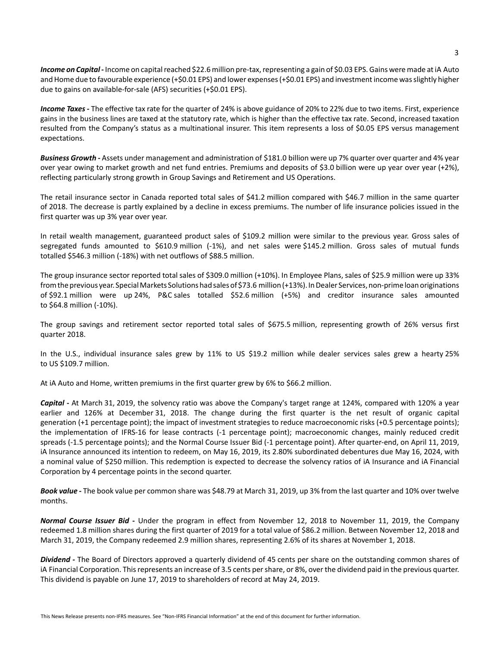Income on Capital - Income on capital reached \$22.6 million pre-tax, representing a gain of \$0.03 EPS. Gains were made at iA Auto and Home due to favourable experience (+\$0.01 EPS) and lower expenses (+\$0.01 EPS) and investment income was slightly higher due to gains on available-for-sale (AFS) securities (+\$0.01 EPS).

*Income Taxes -* The effective tax rate for the quarter of 24% is above guidance of 20% to 22% due to two items. First, experience gains in the business lines are taxed at the statutory rate, which is higher than the effective tax rate. Second, increased taxation resulted from the Company's status as a multinational insurer. This item represents a loss of \$0.05 EPS versus management expectations.

*Business Growth -* Assets under management and administration of \$181.0 billion were up 7% quarter over quarter and 4% year over year owing to market growth and net fund entries. Premiums and deposits of \$3.0 billion were up year over year (+2%), reflecting particularly strong growth in Group Savings and Retirement and US Operations.

The retail insurance sector in Canada reported total sales of \$41.2 million compared with \$46.7 million in the same quarter of 2018. The decrease is partly explained by a decline in excess premiums. The number of life insurance policies issued in the first quarter was up 3% year over year.

In retail wealth management, guaranteed product sales of \$109.2 million were similar to the previous year. Gross sales of segregated funds amounted to \$610.9 million (-1%), and net sales were \$145.2 million. Gross sales of mutual funds totalled \$546.3 million (-18%) with net outflows of \$88.5 million.

The group insurance sector reported total sales of \$309.0 million (+10%). In Employee Plans, sales of \$25.9 million were up 33% from the previous year. Special Markets Solutions had sales of \$73.6 million (+13%). In Dealer Services, non-prime loan originations of \$92.1 million were up 24%, P&C sales totalled \$52.6 million (+5%) and creditor insurance sales amounted to \$64.8 million (-10%).

The group savings and retirement sector reported total sales of \$675.5 million, representing growth of 26% versus first quarter 2018.

In the U.S., individual insurance sales grew by 11% to US \$19.2 million while dealer services sales grew a hearty 25% to US \$109.7 million.

At iA Auto and Home, written premiums in the first quarter grew by 6% to \$66.2 million.

*Capital* **-** At March 31, 2019, the solvency ratio was above the Company's target range at 124%, compared with 120% a year earlier and 126% at December 31, 2018. The change during the first quarter is the net result of organic capital generation (+1 percentage point); the impact of investment strategies to reduce macroeconomic risks (+0.5 percentage points); the implementation of IFRS-16 for lease contracts (-1 percentage point); macroeconomic changes, mainly reduced credit spreads (-1.5 percentage points); and the Normal Course Issuer Bid (-1 percentage point). After quarter-end, on April 11, 2019, iA Insurance announced its intention to redeem, on May 16, 2019, its 2.80% subordinated debentures due May 16, 2024, with a nominal value of \$250 million. This redemption is expected to decrease the solvency ratios of iA Insurance and iA Financial Corporation by 4 percentage points in the second quarter.

*Book value* **-** The book value per common share was \$48.79 at March 31, 2019, up 3% from the last quarter and 10% over twelve months.

*Normal Course Issuer Bid* **-** Under the program in effect from November 12, 2018 to November 11, 2019, the Company redeemed 1.8 million shares during the first quarter of 2019 for a total value of \$86.2 million. Between November 12, 2018 and March 31, 2019, the Company redeemed 2.9 million shares, representing 2.6% of its shares at November 1, 2018.

*Dividend* **-** The Board of Directors approved a quarterly dividend of 45 cents per share on the outstanding common shares of iA Financial Corporation. This represents an increase of 3.5 cents per share, or 8%, over the dividend paid in the previous quarter. This dividend is payable on June 17, 2019 to shareholders of record at May 24, 2019.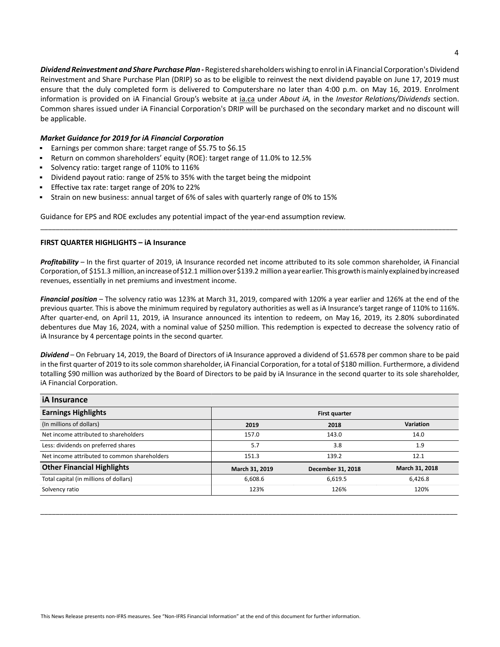*Dividend Reinvestment and Share Purchase Plan -* Registered shareholders wishing to enrol in iA Financial Corporation's Dividend Reinvestment and Share Purchase Plan (DRIP) so as to be eligible to reinvest the next dividend payable on June 17, 2019 must ensure that the duly completed form is delivered to Computershare no later than 4:00 p.m. on May 16, 2019. Enrolment information is provided on iA Financial Group's website at ia.ca under *About iA,* in the *Investor Relations/Dividends* section. Common shares issued under iA Financial Corporation's DRIP will be purchased on the secondary market and no discount will be applicable.

# *Market Guidance for 2019 for iA Financial Corporation*

- Earnings per common share: target range of \$5.75 to \$6.15  $\blacksquare$
- Return on common shareholders' equity (ROE): target range of 11.0% to 12.5%
- Solvency ratio: target range of 110% to 116%
- Dividend payout ratio: range of 25% to 35% with the target being the midpoint
- $\blacksquare$ Effective tax rate: target range of 20% to 22%
- Strain on new business: annual target of 6% of sales with quarterly range of 0% to 15%

Guidance for EPS and ROE excludes any potential impact of the year-end assumption review.

## **FIRST QUARTER HIGHLIGHTS – iA Insurance**

*Profitability* – In the first quarter of 2019, iA Insurance recorded net income attributed to its sole common shareholder, iA Financial Corporation, of \$151.3 million, an increase of \$12.1 million over \$139.2 million a year earlier. This growth is mainly explained by increased revenues, essentially in net premiums and investment income.

\_\_\_\_\_\_\_\_\_\_\_\_\_\_\_\_\_\_\_\_\_\_\_\_\_\_\_\_\_\_\_\_\_\_\_\_\_\_\_\_\_\_\_\_\_\_\_\_\_\_\_\_\_\_\_\_\_\_\_\_\_\_\_\_\_\_\_\_\_\_\_\_\_\_\_\_\_\_\_\_\_\_\_\_\_\_\_\_\_\_\_\_\_\_\_\_\_\_\_\_\_\_\_\_\_\_\_\_

*Financial position* – The solvency ratio was 123% at March 31, 2019, compared with 120% a year earlier and 126% at the end of the previous quarter. This is above the minimum required by regulatory authorities as well as iA Insurance's target range of 110% to 116%. After quarter-end, on April 11, 2019, iA Insurance announced its intention to redeem, on May 16, 2019, its 2.80% subordinated debentures due May 16, 2024, with a nominal value of \$250 million. This redemption is expected to decrease the solvency ratio of iA Insurance by 4 percentage points in the second quarter.

*Dividend* – On February 14, 2019, the Board of Directors of iA Insurance approved a dividend of \$1.6578 per common share to be paid in the first quarter of 2019 to its sole common shareholder, iA Financial Corporation, for a total of \$180 million. Furthermore, a dividend totalling \$90 million was authorized by the Board of Directors to be paid by iA Insurance in the second quarter to its sole shareholder, iA Financial Corporation.

| <b>iA</b> Insurance                          |                |                   |                |
|----------------------------------------------|----------------|-------------------|----------------|
| <b>Earnings Highlights</b>                   |                | First quarter     |                |
| (In millions of dollars)                     | 2019           | 2018              | Variation      |
| Net income attributed to shareholders        | 157.0          | 143.0             | 14.0           |
| Less: dividends on preferred shares          | 5.7            | 3.8               | 1.9            |
| Net income attributed to common shareholders | 151.3          | 139.2             | 12.1           |
| <b>Other Financial Highlights</b>            | March 31, 2019 | December 31, 2018 | March 31, 2018 |
| Total capital (in millions of dollars)       | 6,608.6        | 6,619.5           | 6,426.8        |
| Solvency ratio                               | 123%           | 126%              | 120%           |

\_\_\_\_\_\_\_\_\_\_\_\_\_\_\_\_\_\_\_\_\_\_\_\_\_\_\_\_\_\_\_\_\_\_\_\_\_\_\_\_\_\_\_\_\_\_\_\_\_\_\_\_\_\_\_\_\_\_\_\_\_\_\_\_\_\_\_\_\_\_\_\_\_\_\_\_\_\_\_\_\_\_\_\_\_\_\_\_\_\_\_\_\_\_\_\_\_\_\_\_\_\_\_\_\_\_\_\_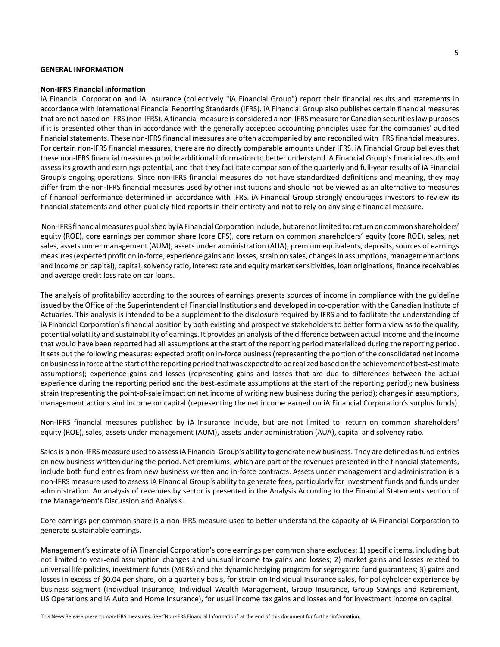## **GENERAL INFORMATION**

#### **Non-IFRS Financial Information**

iA Financial Corporation and iA Insurance (collectively "iA Financial Group") report their financial results and statements in accordance with International Financial Reporting Standards (IFRS). iA Financial Group also publishes certain financial measures that are not based on IFRS (non-IFRS). A financial measure is considered a non-IFRS measure for Canadian securities law purposes if it is presented other than in accordance with the generally accepted accounting principles used for the companies' audited financial statements. These non-IFRS financial measures are often accompanied by and reconciled with IFRS financial measures. For certain non-IFRS financial measures, there are no directly comparable amounts under IFRS. iA Financial Group believes that these non-IFRS financial measures provide additional information to better understand iA Financial Group's financial results and assess its growth and earnings potential, and that they facilitate comparison of the quarterly and full-year results of iA Financial Group's ongoing operations. Since non-IFRS financial measures do not have standardized definitions and meaning, they may differ from the non-IFRS financial measures used by other institutions and should not be viewed as an alternative to measures of financial performance determined in accordance with IFRS. iA Financial Group strongly encourages investors to review its financial statements and other publicly-filed reports in their entirety and not to rely on any single financial measure.

 Non-IFRS financial measures published by iA Financial Corporation include, but are not limited to: return on common shareholders' equity (ROE), core earnings per common share (core EPS), core return on common shareholders' equity (core ROE), sales, net sales, assets under management (AUM), assets under administration (AUA), premium equivalents, deposits, sources of earnings measures (expected profit on in-force, experience gains and losses, strain on sales, changes in assumptions, management actions and income on capital), capital, solvency ratio, interest rate and equity market sensitivities, loan originations, finance receivables and average credit loss rate on car loans.

The analysis of profitability according to the sources of earnings presents sources of income in compliance with the guideline issued by the Office of the Superintendent of Financial Institutions and developed in co-operation with the Canadian Institute of Actuaries. This analysis is intended to be a supplement to the disclosure required by IFRS and to facilitate the understanding of iA Financial Corporation's financial position by both existing and prospective stakeholders to better form a view as to the quality, potential volatility and sustainability of earnings. It provides an analysis of the difference between actual income and the income that would have been reported had all assumptions at the start of the reporting period materialized during the reporting period. It sets out the following measures: expected profit on in-force business (representing the portion of the consolidated net income on business in force at the start of the reporting period that was expected to be realized based on the achievement of best estimate assumptions); experience gains and losses (representing gains and losses that are due to differences between the actual experience during the reporting period and the best estimate assumptions at the start of the reporting period); new business strain (representing the point-of-sale impact on net income of writing new business during the period); changes in assumptions, management actions and income on capital (representing the net income earned on iA Financial Corporation's surplus funds).

Non-IFRS financial measures published by iA Insurance include, but are not limited to: return on common shareholders' equity (ROE), sales, assets under management (AUM), assets under administration (AUA), capital and solvency ratio.

Sales is a non-IFRS measure used to assess iA Financial Group's ability to generate new business. They are defined as fund entries on new business written during the period. Net premiums, which are part of the revenues presented in the financial statements, include both fund entries from new business written and in-force contracts. Assets under management and administration is a non-IFRS measure used to assess iA Financial Group's ability to generate fees, particularly for investment funds and funds under administration. An analysis of revenues by sector is presented in the Analysis According to the Financial Statements section of the Management's Discussion and Analysis.

Core earnings per common share is a non-IFRS measure used to better understand the capacity of iA Financial Corporation to generate sustainable earnings.

Management's estimate of iA Financial Corporation's core earnings per common share excludes: 1) specific items, including but not limited to year end assumption changes and unusual income tax gains and losses; 2) market gains and losses related to universal life policies, investment funds (MERs) and the dynamic hedging program for segregated fund guarantees; 3) gains and losses in excess of \$0.04 per share, on a quarterly basis, for strain on Individual Insurance sales, for policyholder experience by business segment (Individual Insurance, Individual Wealth Management, Group Insurance, Group Savings and Retirement, US Operations and iA Auto and Home Insurance), for usual income tax gains and losses and for investment income on capital.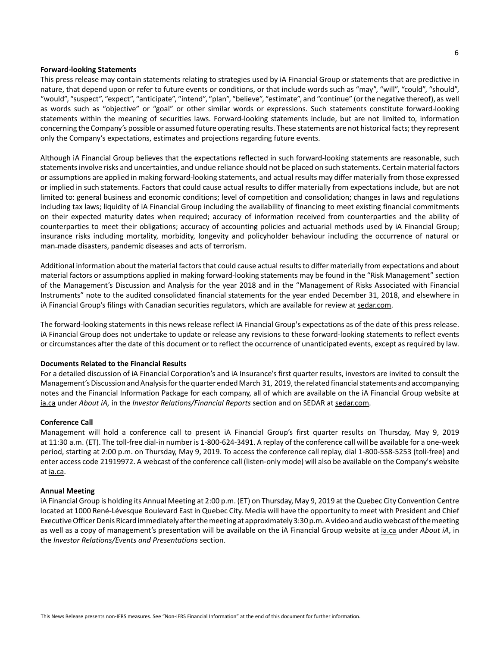#### **Forward-looking Statements**

This press release may contain statements relating to strategies used by iA Financial Group or statements that are predictive in nature, that depend upon or refer to future events or conditions, or that include words such as "may", "will", "could", "should", "would", "suspect", "expect", "anticipate", "intend", "plan", "believe", "estimate", and "continue" (or the negative thereof), as well as words such as "objective" or "goal" or other similar words or expressions. Such statements constitute forward looking statements within the meaning of securities laws. Forward-looking statements include, but are not limited to, information concerning the Company's possible or assumed future operating results. These statements are not historical facts; they represent only the Company's expectations, estimates and projections regarding future events.

Although iA Financial Group believes that the expectations reflected in such forward-looking statements are reasonable, such statements involve risks and uncertainties, and undue reliance should not be placed on such statements. Certain material factors or assumptions are applied in making forward-looking statements, and actual results may differ materially from those expressed or implied in such statements. Factors that could cause actual results to differ materially from expectations include, but are not limited to: general business and economic conditions; level of competition and consolidation; changes in laws and regulations including tax laws; liquidity of iA Financial Group including the availability of financing to meet existing financial commitments on their expected maturity dates when required; accuracy of information received from counterparties and the ability of counterparties to meet their obligations; accuracy of accounting policies and actuarial methods used by iA Financial Group; insurance risks including mortality, morbidity, longevity and policyholder behaviour including the occurrence of natural or man-made disasters, pandemic diseases and acts of terrorism.

Additional information about the material factors that could cause actual results to differ materially from expectations and about material factors or assumptions applied in making forward-looking statements may be found in the "Risk Management" section of the Management's Discussion and Analysis for the year 2018 and in the "Management of Risks Associated with Financial Instruments" note to the audited consolidated financial statements for the year ended December 31, 2018, and elsewhere in iA Financial Group's filings with Canadian securities regulators, which are available for review at sedar.com.

The forward-looking statements in this news release reflect iA Financial Group's expectations as of the date of this press release. iA Financial Group does not undertake to update or release any revisions to these forward-looking statements to reflect events or circumstances after the date of this document or to reflect the occurrence of unanticipated events, except as required by law.

## **Documents Related to the Financial Results**

For a detailed discussion of iA Financial Corporation's and iA Insurance's first quarter results, investors are invited to consult the Management's Discussion and Analysis for the quarter ended March 31, 2019, the related financial statements and accompanying notes and the Financial Information Package for each company, all of which are available on the iA Financial Group website at ia.ca under *About iA,* in the *Investor Relations/Financial Reports* section and on SEDAR at sedar.com.

#### **Conference Call**

Management will hold a conference call to present iA Financial Group's first quarter results on Thursday, May 9, 2019 at 11:30 a.m. (ET). The toll-free dial-in number is 1-800-624-3491. A replay of the conference call will be available for a one-week period, starting at 2:00 p.m. on Thursday, May 9, 2019. To access the conference call replay, dial 1-800-558-5253 (toll-free) and enter access code 21919972. A webcast of the conference call (listen-only mode) will also be available on the Company's website at ia.ca.

#### **Annual Meeting**

iA Financial Group is holding its Annual Meeting at 2:00 p.m. (ET) on Thursday, May 9, 2019 at the Quebec City Convention Centre located at 1000 René-Lévesque Boulevard East in Quebec City. Media will have the opportunity to meet with President and Chief Executive Officer Denis Ricard immediately after the meeting at approximately 3:30 p.m. A video and audio webcast of the meeting as well as a copy of management's presentation will be available on the iA Financial Group website at ia.ca under *About iA*, in the *Investor Relations/Events and Presentations* section.